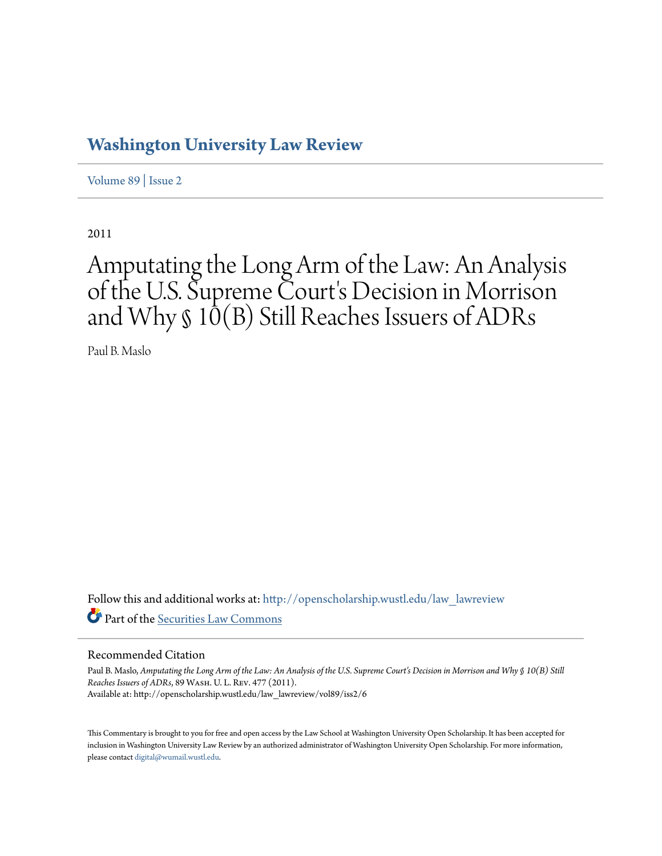## **[Washington University Law Review](http://openscholarship.wustl.edu/law_lawreview?utm_source=openscholarship.wustl.edu%2Flaw_lawreview%2Fvol89%2Fiss2%2F6&utm_medium=PDF&utm_campaign=PDFCoverPages)**

[Volume 89](http://openscholarship.wustl.edu/law_lawreview/vol89?utm_source=openscholarship.wustl.edu%2Flaw_lawreview%2Fvol89%2Fiss2%2F6&utm_medium=PDF&utm_campaign=PDFCoverPages) | [Issue 2](http://openscholarship.wustl.edu/law_lawreview/vol89/iss2?utm_source=openscholarship.wustl.edu%2Flaw_lawreview%2Fvol89%2Fiss2%2F6&utm_medium=PDF&utm_campaign=PDFCoverPages)

2011

# Amputating the Long Arm of the Law: An Analysis of the U.S. Supreme Court's Decision in Morrison and Why § 10̄(B) Still Reaches Issuers of ADRs

Paul B. Maslo

Follow this and additional works at: [http://openscholarship.wustl.edu/law\\_lawreview](http://openscholarship.wustl.edu/law_lawreview?utm_source=openscholarship.wustl.edu%2Flaw_lawreview%2Fvol89%2Fiss2%2F6&utm_medium=PDF&utm_campaign=PDFCoverPages) Part of the [Securities Law Commons](http://network.bepress.com/hgg/discipline/619?utm_source=openscholarship.wustl.edu%2Flaw_lawreview%2Fvol89%2Fiss2%2F6&utm_medium=PDF&utm_campaign=PDFCoverPages)

#### Recommended Citation

Paul B. Maslo, *Amputating the Long Arm of the Law: An Analysis of the U.S. Supreme Court's Decision in Morrison and Why § 10(B) Still Reaches Issuers of ADRs*, 89 Wash. U. L. Rev. 477 (2011). Available at: http://openscholarship.wustl.edu/law\_lawreview/vol89/iss2/6

This Commentary is brought to you for free and open access by the Law School at Washington University Open Scholarship. It has been accepted for inclusion in Washington University Law Review by an authorized administrator of Washington University Open Scholarship. For more information, please contact [digital@wumail.wustl.edu.](mailto:digital@wumail.wustl.edu)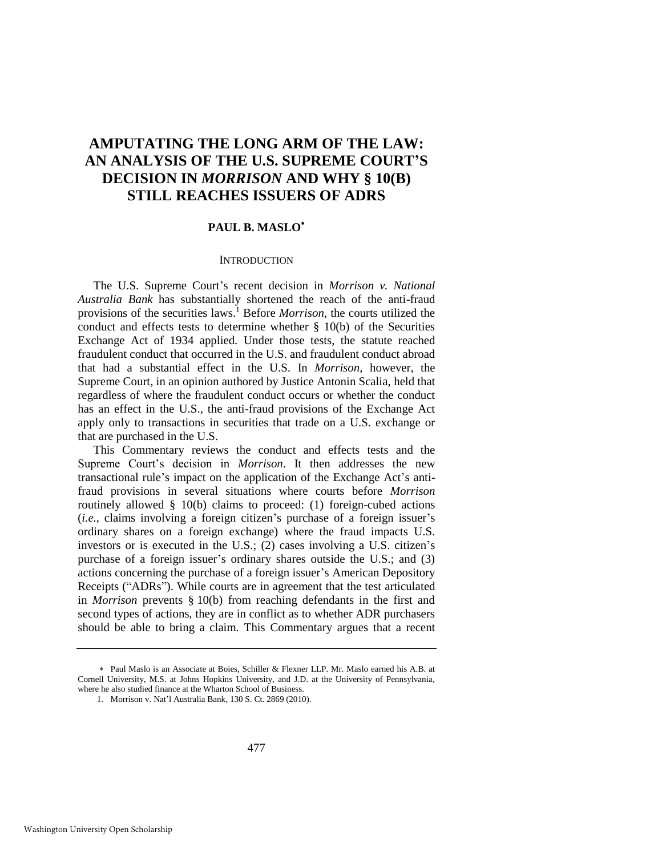### **AMPUTATING THE LONG ARM OF THE LAW: AN ANALYSIS OF THE U.S. SUPREME COURT'S DECISION IN** *MORRISON* **AND WHY § 10(B) STILL REACHES ISSUERS OF ADRS**

#### **PAUL B. MASLO**

#### **INTRODUCTION**

The U.S. Supreme Court's recent decision in *Morrison v. National Australia Bank* has substantially shortened the reach of the anti-fraud provisions of the securities laws.<sup>1</sup> Before *Morrison*, the courts utilized the conduct and effects tests to determine whether § 10(b) of the Securities Exchange Act of 1934 applied. Under those tests, the statute reached fraudulent conduct that occurred in the U.S. and fraudulent conduct abroad that had a substantial effect in the U.S. In *Morrison*, however, the Supreme Court, in an opinion authored by Justice Antonin Scalia, held that regardless of where the fraudulent conduct occurs or whether the conduct has an effect in the U.S., the anti-fraud provisions of the Exchange Act apply only to transactions in securities that trade on a U.S. exchange or that are purchased in the U.S.

This Commentary reviews the conduct and effects tests and the Supreme Court's decision in *Morrison*. It then addresses the new transactional rule's impact on the application of the Exchange Act's antifraud provisions in several situations where courts before *Morrison*  routinely allowed § 10(b) claims to proceed: (1) foreign-cubed actions (*i.e.*, claims involving a foreign citizen's purchase of a foreign issuer's ordinary shares on a foreign exchange) where the fraud impacts U.S. investors or is executed in the U.S.; (2) cases involving a U.S. citizen's purchase of a foreign issuer's ordinary shares outside the U.S.; and (3) actions concerning the purchase of a foreign issuer's American Depository Receipts ("ADRs"). While courts are in agreement that the test articulated in *Morrison* prevents § 10(b) from reaching defendants in the first and second types of actions, they are in conflict as to whether ADR purchasers should be able to bring a claim. This Commentary argues that a recent

Paul Maslo is an Associate at Boies, Schiller & Flexner LLP. Mr. Maslo earned his A.B. at Cornell University, M.S. at Johns Hopkins University, and J.D. at the University of Pennsylvania, where he also studied finance at the Wharton School of Business.

<sup>1.</sup> Morrison v. Nat'l Australia Bank, 130 S. Ct. 2869 (2010).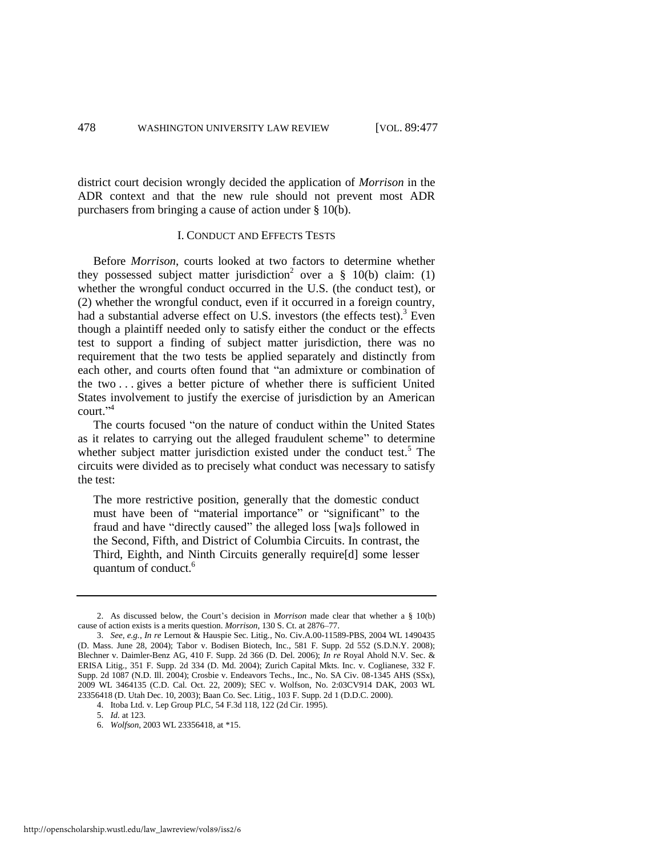district court decision wrongly decided the application of *Morrison* in the ADR context and that the new rule should not prevent most ADR purchasers from bringing a cause of action under § 10(b).

#### I. CONDUCT AND EFFECTS TESTS

Before *Morrison*, courts looked at two factors to determine whether they possessed subject matter jurisdiction<sup>2</sup> over a  $\S$  10(b) claim: (1) whether the wrongful conduct occurred in the U.S. (the conduct test), or (2) whether the wrongful conduct, even if it occurred in a foreign country, had a substantial adverse effect on U.S. investors (the effects test).<sup>3</sup> Even though a plaintiff needed only to satisfy either the conduct or the effects test to support a finding of subject matter jurisdiction, there was no requirement that the two tests be applied separately and distinctly from each other, and courts often found that "an admixture or combination of the two . . . gives a better picture of whether there is sufficient United States involvement to justify the exercise of jurisdiction by an American court."<sup>4</sup>

The courts focused "on the nature of conduct within the United States as it relates to carrying out the alleged fraudulent scheme" to determine whether subject matter jurisdiction existed under the conduct test.<sup>5</sup> The circuits were divided as to precisely what conduct was necessary to satisfy the test:

The more restrictive position, generally that the domestic conduct must have been of "material importance" or "significant" to the fraud and have "directly caused" the alleged loss [wa]s followed in the Second, Fifth, and District of Columbia Circuits. In contrast, the Third, Eighth, and Ninth Circuits generally require[d] some lesser quantum of conduct.<sup>6</sup>

<sup>2.</sup> As discussed below, the Court's decision in *Morrison* made clear that whether a § 10(b) cause of action exists is a merits question. *Morrison*, 130 S. Ct. at 2876–77.

<sup>3.</sup> *See, e.g.*, *In re* Lernout & Hauspie Sec. Litig., No. Civ.A.00-11589-PBS, 2004 WL 1490435 (D. Mass. June 28, 2004); Tabor v. Bodisen Biotech, Inc., 581 F. Supp. 2d 552 (S.D.N.Y. 2008); Blechner v. Daimler-Benz AG, 410 F. Supp. 2d 366 (D. Del. 2006); *In re* Royal Ahold N.V. Sec. & ERISA Litig., 351 F. Supp. 2d 334 (D. Md. 2004); Zurich Capital Mkts. Inc. v. Coglianese, 332 F. Supp. 2d 1087 (N.D. Ill. 2004); Crosbie v. Endeavors Techs., Inc., No. SA Civ. 08-1345 AHS (SSx), 2009 WL 3464135 (C.D. Cal. Oct. 22, 2009); SEC v. Wolfson, No. 2:03CV914 DAK, 2003 WL 23356418 (D. Utah Dec. 10, 2003); Baan Co. Sec. Litig., 103 F. Supp. 2d 1 (D.D.C. 2000).

<sup>4.</sup> Itoba Ltd. v. Lep Group PLC, 54 F.3d 118, 122 (2d Cir. 1995).

<sup>5.</sup> *Id.* at 123.

<sup>6.</sup> *Wolfson*, 2003 WL 23356418, at \*15.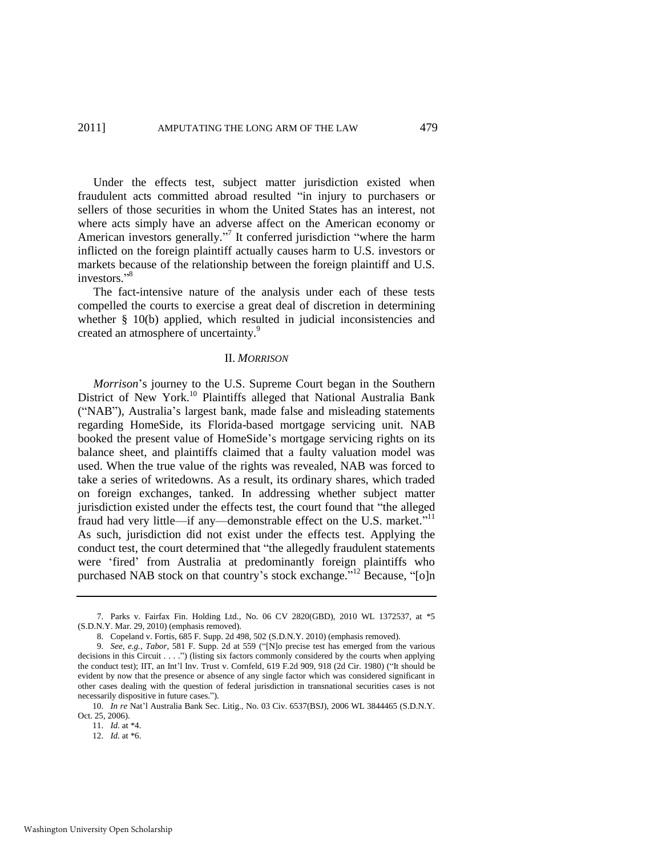Under the effects test, subject matter jurisdiction existed when fraudulent acts committed abroad resulted "in injury to purchasers or sellers of those securities in whom the United States has an interest, not where acts simply have an adverse affect on the American economy or American investors generally."<sup>7</sup> It conferred jurisdiction "where the harm inflicted on the foreign plaintiff actually causes harm to U.S. investors or markets because of the relationship between the foreign plaintiff and U.S. investors."<sup>8</sup>

The fact-intensive nature of the analysis under each of these tests compelled the courts to exercise a great deal of discretion in determining whether § 10(b) applied, which resulted in judicial inconsistencies and created an atmosphere of uncertainty.<sup>9</sup>

#### II. *MORRISON*

*Morrison*'s journey to the U.S. Supreme Court began in the Southern District of New York.<sup>10</sup> Plaintiffs alleged that National Australia Bank (―NAB‖), Australia's largest bank, made false and misleading statements regarding HomeSide, its Florida-based mortgage servicing unit. NAB booked the present value of HomeSide's mortgage servicing rights on its balance sheet, and plaintiffs claimed that a faulty valuation model was used. When the true value of the rights was revealed, NAB was forced to take a series of writedowns. As a result, its ordinary shares, which traded on foreign exchanges, tanked. In addressing whether subject matter jurisdiction existed under the effects test, the court found that "the alleged fraud had very little—if any—demonstrable effect on the U.S. market."<sup>11</sup> As such, jurisdiction did not exist under the effects test. Applying the conduct test, the court determined that "the allegedly fraudulent statements were 'fired' from Australia at predominantly foreign plaintiffs who purchased NAB stock on that country's stock exchange."<sup>12</sup> Because, "[o]n

11. *Id.* at \*4.

<sup>7.</sup> Parks v. Fairfax Fin. Holding Ltd., No. 06 CV 2820(GBD), 2010 WL 1372537, at \*5 (S.D.N.Y. Mar. 29, 2010) (emphasis removed).

<sup>8.</sup> Copeland v. Fortis, 685 F. Supp. 2d 498, 502 (S.D.N.Y. 2010) (emphasis removed).

<sup>9.</sup> *See, e.g., Tabor,* 581 F. Supp. 2d at 559 ("[N]o precise test has emerged from the various decisions in this Circuit  $\dots$ .") (listing six factors commonly considered by the courts when applying the conduct test); IIT, an Int'l Inv. Trust v. Cornfeld, 619 F.2d 909, 918 (2d Cir. 1980) ("It should be evident by now that the presence or absence of any single factor which was considered significant in other cases dealing with the question of federal jurisdiction in transnational securities cases is not necessarily dispositive in future cases.").

<sup>10.</sup> *In re* Nat'l Australia Bank Sec. Litig., No. 03 Civ. 6537(BSJ), 2006 WL 3844465 (S.D.N.Y. Oct. 25, 2006).

<sup>12.</sup> *Id.* at \*6.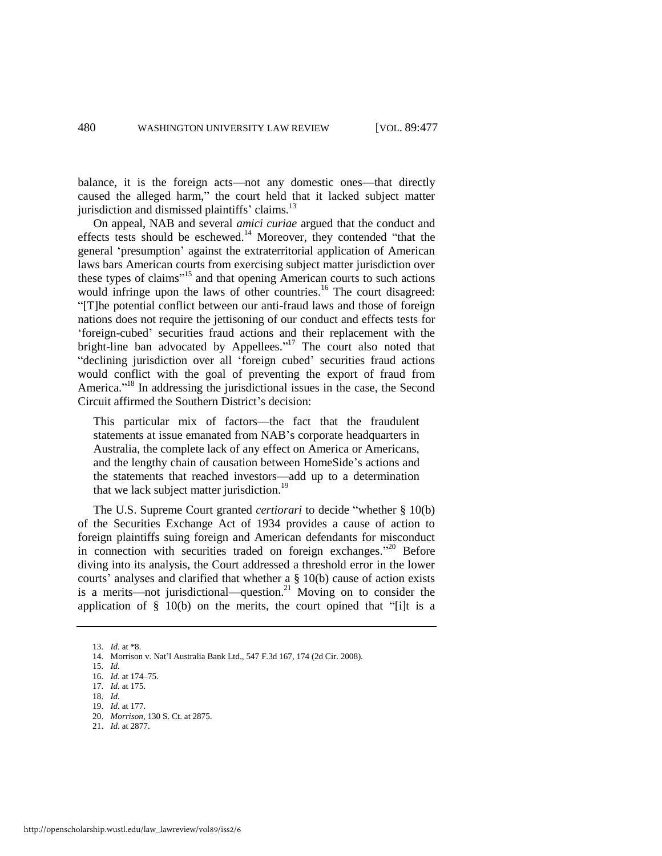balance, it is the foreign acts—not any domestic ones—that directly caused the alleged harm," the court held that it lacked subject matter jurisdiction and dismissed plaintiffs' claims.<sup>13</sup>

On appeal, NAB and several *amici curiae* argued that the conduct and effects tests should be eschewed.<sup>14</sup> Moreover, they contended "that the general ‗presumption' against the extraterritorial application of American laws bars American courts from exercising subject matter jurisdiction over these types of claims"<sup>15</sup> and that opening American courts to such actions would infringe upon the laws of other countries.<sup>16</sup> The court disagreed: ―[T]he potential conflict between our anti-fraud laws and those of foreign nations does not require the jettisoning of our conduct and effects tests for ‗foreign-cubed' securities fraud actions and their replacement with the bright-line ban advocated by Appellees."<sup>17</sup> The court also noted that "declining jurisdiction over all 'foreign cubed' securities fraud actions would conflict with the goal of preventing the export of fraud from America."<sup>18</sup> In addressing the jurisdictional issues in the case, the Second Circuit affirmed the Southern District's decision:

This particular mix of factors—the fact that the fraudulent statements at issue emanated from NAB's corporate headquarters in Australia, the complete lack of any effect on America or Americans, and the lengthy chain of causation between HomeSide's actions and the statements that reached investors—add up to a determination that we lack subject matter jurisdiction.<sup>19</sup>

The U.S. Supreme Court granted *certiorari* to decide "whether § 10(b) of the Securities Exchange Act of 1934 provides a cause of action to foreign plaintiffs suing foreign and American defendants for misconduct in connection with securities traded on foreign exchanges."<sup>20</sup> Before diving into its analysis, the Court addressed a threshold error in the lower courts' analyses and clarified that whether a § 10(b) cause of action exists is a merits—not jurisdictional—question.<sup>21</sup> Moving on to consider the application of  $\S$  10(b) on the merits, the court opined that "[i]t is a

<sup>13.</sup> *Id.* at \*8.

<sup>14.</sup> Morrison v. Nat'l Australia Bank Ltd., 547 F.3d 167, 174 (2d Cir. 2008).

<sup>15.</sup> *Id.*

<sup>16.</sup> *Id.* at 174–75. 17. *Id.* at 175.

<sup>18.</sup> *Id.*

<sup>19.</sup> *Id.* at 177. 20. *Morrison*, 130 S. Ct. at 2875.

<sup>21.</sup> *Id.* at 2877.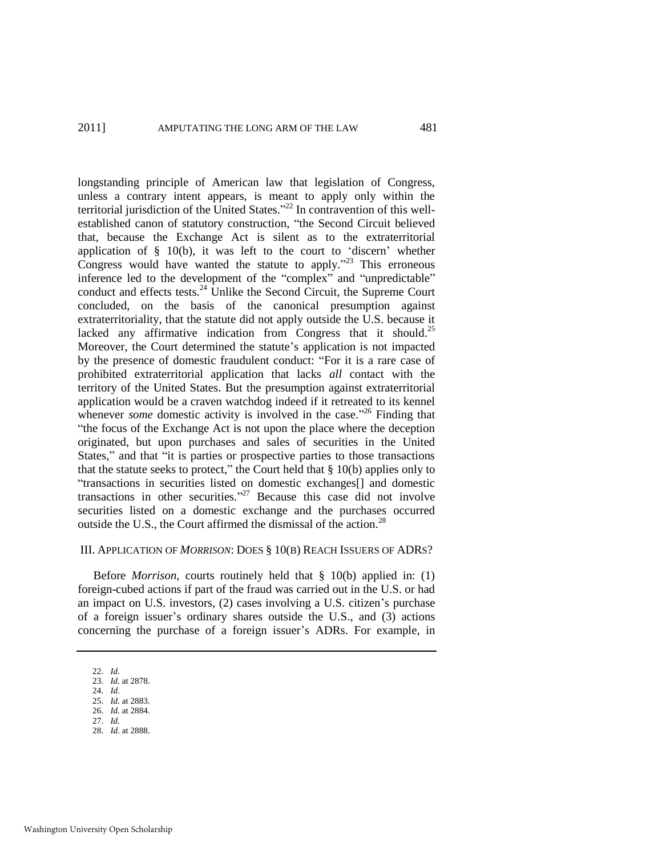longstanding principle of American law that legislation of Congress, unless a contrary intent appears, is meant to apply only within the territorial jurisdiction of the United States."<sup>22</sup> In contravention of this wellestablished canon of statutory construction, "the Second Circuit believed that, because the Exchange Act is silent as to the extraterritorial application of  $\S$  10(b), it was left to the court to 'discern' whether Congress would have wanted the statute to apply. $2^{3}$  This erroneous inference led to the development of the "complex" and "unpredictable" conduct and effects tests. $^{24}$  Unlike the Second Circuit, the Supreme Court concluded, on the basis of the canonical presumption against extraterritoriality, that the statute did not apply outside the U.S. because it lacked any affirmative indication from Congress that it should.<sup>25</sup> Moreover, the Court determined the statute's application is not impacted by the presence of domestic fraudulent conduct: "For it is a rare case of prohibited extraterritorial application that lacks *all* contact with the territory of the United States. But the presumption against extraterritorial application would be a craven watchdog indeed if it retreated to its kennel whenever *some* domestic activity is involved in the case."<sup>26</sup> Finding that "the focus of the Exchange Act is not upon the place where the deception originated, but upon purchases and sales of securities in the United States," and that "it is parties or prospective parties to those transactions that the statute seeks to protect," the Court held that  $\S$  10(b) applies only to "transactions in securities listed on domestic exchanges[] and domestic transactions in other securities."<sup>27</sup> Because this case did not involve securities listed on a domestic exchange and the purchases occurred outside the U.S., the Court affirmed the dismissal of the action.<sup>28</sup>

#### III. APPLICATION OF *MORRISON*: DOES § 10(B) REACH ISSUERS OF ADRS?

Before *Morrison*, courts routinely held that § 10(b) applied in: (1) foreign-cubed actions if part of the fraud was carried out in the U.S. or had an impact on U.S. investors, (2) cases involving a U.S. citizen's purchase of a foreign issuer's ordinary shares outside the U.S., and (3) actions concerning the purchase of a foreign issuer's ADRs. For example, in

<sup>22.</sup> *Id.* 

<sup>23.</sup> *Id.* at 2878.

<sup>24.</sup> *Id.*

<sup>25.</sup> *Id.* at 2883. 26. *Id.* at 2884.

<sup>27.</sup> *Id.*

<sup>28.</sup> *Id.* at 2888.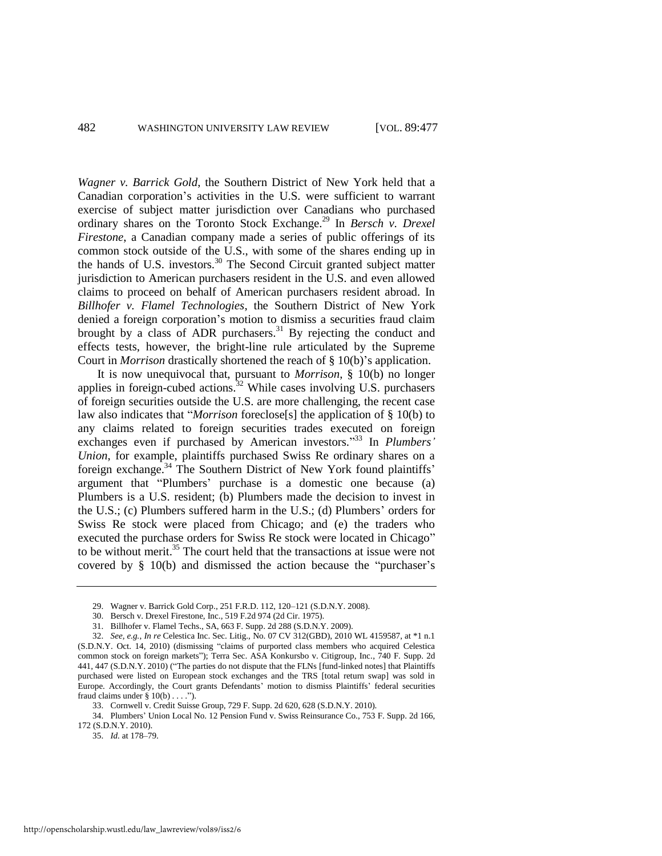*Wagner v. Barrick Gold*, the Southern District of New York held that a Canadian corporation's activities in the U.S. were sufficient to warrant exercise of subject matter jurisdiction over Canadians who purchased ordinary shares on the Toronto Stock Exchange.<sup>29</sup> In *Bersch v. Drexel Firestone*, a Canadian company made a series of public offerings of its common stock outside of the U.S., with some of the shares ending up in the hands of U.S. investors.<sup>30</sup> The Second Circuit granted subject matter jurisdiction to American purchasers resident in the U.S. and even allowed claims to proceed on behalf of American purchasers resident abroad. In *Billhofer v. Flamel Technologies*, the Southern District of New York denied a foreign corporation's motion to dismiss a securities fraud claim brought by a class of ADR purchasers.<sup>31</sup> By rejecting the conduct and effects tests, however, the bright-line rule articulated by the Supreme Court in *Morrison* drastically shortened the reach of § 10(b)'s application.

It is now unequivocal that, pursuant to *Morrison*, § 10(b) no longer applies in foreign-cubed actions.<sup>32</sup> While cases involving U.S. purchasers of foreign securities outside the U.S. are more challenging, the recent case law also indicates that "*Morrison* foreclose<sup>[s]</sup> the application of § 10(b) to any claims related to foreign securities trades executed on foreign exchanges even if purchased by American investors."<sup>33</sup> In *Plumbers' Union*, for example, plaintiffs purchased Swiss Re ordinary shares on a foreign exchange.<sup>34</sup> The Southern District of New York found plaintiffs' argument that "Plumbers' purchase is a domestic one because (a) Plumbers is a U.S. resident; (b) Plumbers made the decision to invest in the U.S.; (c) Plumbers suffered harm in the U.S.; (d) Plumbers' orders for Swiss Re stock were placed from Chicago; and (e) the traders who executed the purchase orders for Swiss Re stock were located in Chicago" to be without merit.<sup>35</sup> The court held that the transactions at issue were not covered by  $\S$  10(b) and dismissed the action because the "purchaser's

35. *Id.* at 178–79.

<sup>29.</sup> Wagner v. Barrick Gold Corp., 251 F.R.D. 112, 120–121 (S.D.N.Y. 2008).

<sup>30.</sup> Bersch v. Drexel Firestone, Inc., 519 F.2d 974 (2d Cir. 1975).

<sup>31.</sup> Billhofer v. Flamel Techs., SA, 663 F. Supp. 2d 288 (S.D.N.Y. 2009).

<sup>32.</sup> *See, e.g.*, *In re* Celestica Inc. Sec. Litig., No. 07 CV 312(GBD), 2010 WL 4159587, at \*1 n.1 (S.D.N.Y. Oct. 14, 2010) (dismissing "claims of purported class members who acquired Celestica common stock on foreign markets"); Terra Sec. ASA Konkursbo v. Citigroup, Inc., 740 F. Supp. 2d 441, 447 (S.D.N.Y. 2010) ("The parties do not dispute that the FLNs [fund-linked notes] that Plaintiffs purchased were listed on European stock exchanges and the TRS [total return swap] was sold in Europe. Accordingly, the Court grants Defendants' motion to dismiss Plaintiffs' federal securities fraud claims under  $\S 10(b) \ldots$ .").

<sup>33.</sup> Cornwell v. Credit Suisse Group, 729 F. Supp. 2d 620, 628 (S.D.N.Y. 2010).

<sup>34.</sup> Plumbers' Union Local No. 12 Pension Fund v. Swiss Reinsurance Co., 753 F. Supp. 2d 166, 172 (S.D.N.Y. 2010).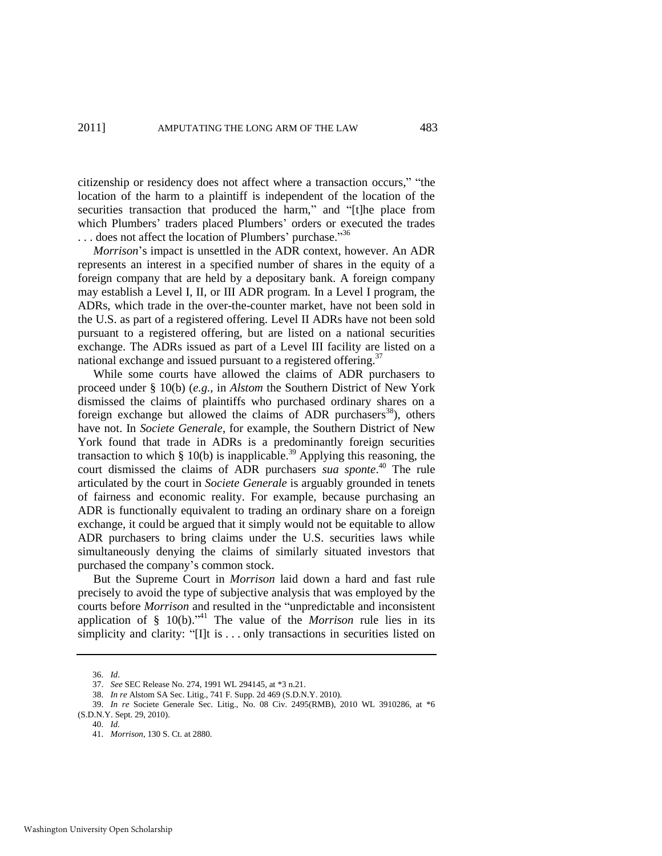citizenship or residency does not affect where a transaction occurs," "the location of the harm to a plaintiff is independent of the location of the securities transaction that produced the harm," and "[t]he place from which Plumbers' traders placed Plumbers' orders or executed the trades ... does not affect the location of Plumbers' purchase."<sup>36</sup>

*Morrison*'s impact is unsettled in the ADR context, however. An ADR represents an interest in a specified number of shares in the equity of a foreign company that are held by a depositary bank. A foreign company may establish a Level I, II, or III ADR program. In a Level I program, the ADRs, which trade in the over-the-counter market, have not been sold in the U.S. as part of a registered offering. Level II ADRs have not been sold pursuant to a registered offering, but are listed on a national securities exchange. The ADRs issued as part of a Level III facility are listed on a national exchange and issued pursuant to a registered offering.<sup>37</sup>

While some courts have allowed the claims of ADR purchasers to proceed under § 10(b) (*e.g.*, in *Alstom* the Southern District of New York dismissed the claims of plaintiffs who purchased ordinary shares on a foreign exchange but allowed the claims of ADR purchasers<sup>38</sup>), others have not. In *Societe Generale*, for example, the Southern District of New York found that trade in ADRs is a predominantly foreign securities transaction to which  $\S$  10(b) is inapplicable.<sup>39</sup> Applying this reasoning, the court dismissed the claims of ADR purchasers *sua sponte*. <sup>40</sup> The rule articulated by the court in *Societe Generale* is arguably grounded in tenets of fairness and economic reality. For example, because purchasing an ADR is functionally equivalent to trading an ordinary share on a foreign exchange, it could be argued that it simply would not be equitable to allow ADR purchasers to bring claims under the U.S. securities laws while simultaneously denying the claims of similarly situated investors that purchased the company's common stock.

But the Supreme Court in *Morrison* laid down a hard and fast rule precisely to avoid the type of subjective analysis that was employed by the courts before *Morrison* and resulted in the "unpredictable and inconsistent application of § 10(b).<sup>241</sup> The value of the *Morrison* rule lies in its simplicity and clarity: "[I]t is  $\dots$  only transactions in securities listed on

<sup>36.</sup> *Id*.

<sup>37.</sup> *See* SEC Release No. 274, 1991 WL 294145, at \*3 n.21.

<sup>38.</sup> *In re* Alstom SA Sec. Litig., 741 F. Supp. 2d 469 (S.D.N.Y. 2010).

<sup>39.</sup> *In re* Societe Generale Sec. Litig., No. 08 Civ. 2495(RMB), 2010 WL 3910286, at \*6 (S.D.N.Y. Sept. 29, 2010).

<sup>40.</sup> *Id.* 

<sup>41.</sup> *Morrison*, 130 S. Ct. at 2880.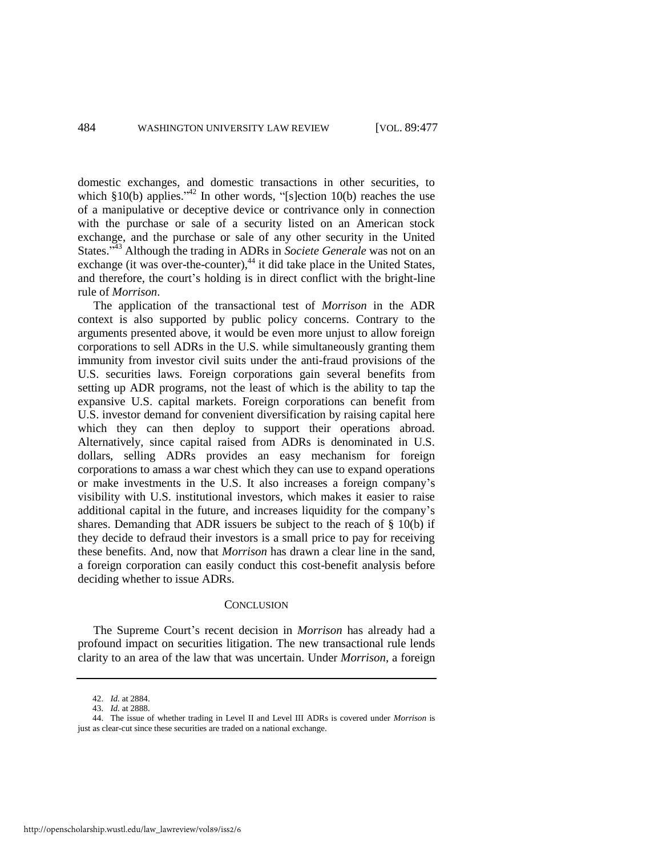domestic exchanges, and domestic transactions in other securities, to which  $$10(b)$  applies.<sup>242</sup> In other words, "[s]ection 10(b) reaches the use of a manipulative or deceptive device or contrivance only in connection with the purchase or sale of a security listed on an American stock exchange, and the purchase or sale of any other security in the United States.<sup>343</sup> Although the trading in ADRs in *Societe Generale* was not on an exchange (it was over-the-counter), $44$  it did take place in the United States, and therefore, the court's holding is in direct conflict with the bright-line rule of *Morrison*.

The application of the transactional test of *Morrison* in the ADR context is also supported by public policy concerns. Contrary to the arguments presented above, it would be even more unjust to allow foreign corporations to sell ADRs in the U.S. while simultaneously granting them immunity from investor civil suits under the anti-fraud provisions of the U.S. securities laws. Foreign corporations gain several benefits from setting up ADR programs, not the least of which is the ability to tap the expansive U.S. capital markets. Foreign corporations can benefit from U.S. investor demand for convenient diversification by raising capital here which they can then deploy to support their operations abroad. Alternatively, since capital raised from ADRs is denominated in U.S. dollars, selling ADRs provides an easy mechanism for foreign corporations to amass a war chest which they can use to expand operations or make investments in the U.S. It also increases a foreign company's visibility with U.S. institutional investors, which makes it easier to raise additional capital in the future, and increases liquidity for the company's shares. Demanding that ADR issuers be subject to the reach of § 10(b) if they decide to defraud their investors is a small price to pay for receiving these benefits. And, now that *Morrison* has drawn a clear line in the sand, a foreign corporation can easily conduct this cost-benefit analysis before deciding whether to issue ADRs.

#### **CONCLUSION**

The Supreme Court's recent decision in *Morrison* has already had a profound impact on securities litigation. The new transactional rule lends clarity to an area of the law that was uncertain. Under *Morrison*, a foreign

<sup>42.</sup> *Id.* at 2884.

<sup>43.</sup> *Id.* at 2888.

<sup>44.</sup> The issue of whether trading in Level II and Level III ADRs is covered under *Morrison* is just as clear-cut since these securities are traded on a national exchange.